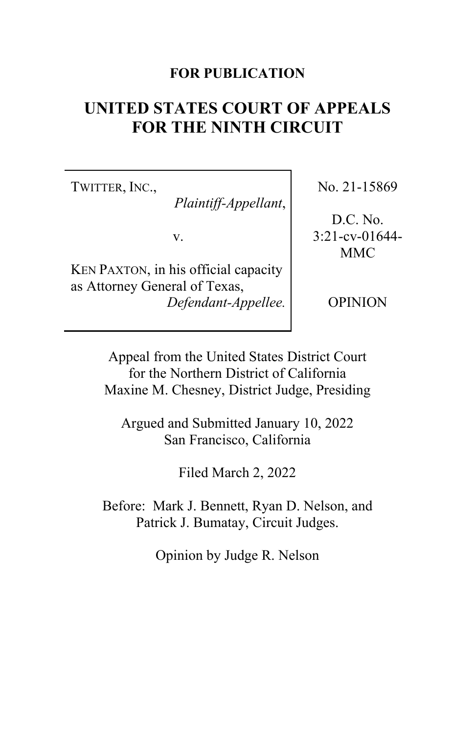## **FOR PUBLICATION**

# **UNITED STATES COURT OF APPEALS FOR THE NINTH CIRCUIT**

TWITTER, INC.,

*Plaintiff-Appellant*,

v.

KEN PAXTON, in his official capacity as Attorney General of Texas, *Defendant-Appellee.* No. 21-15869

D.C. No. 3:21-cv-01644- MMC

OPINION

Appeal from the United States District Court for the Northern District of California Maxine M. Chesney, District Judge, Presiding

Argued and Submitted January 10, 2022 San Francisco, California

Filed March 2, 2022

Before: Mark J. Bennett, Ryan D. Nelson, and Patrick J. Bumatay, Circuit Judges.

Opinion by Judge R. Nelson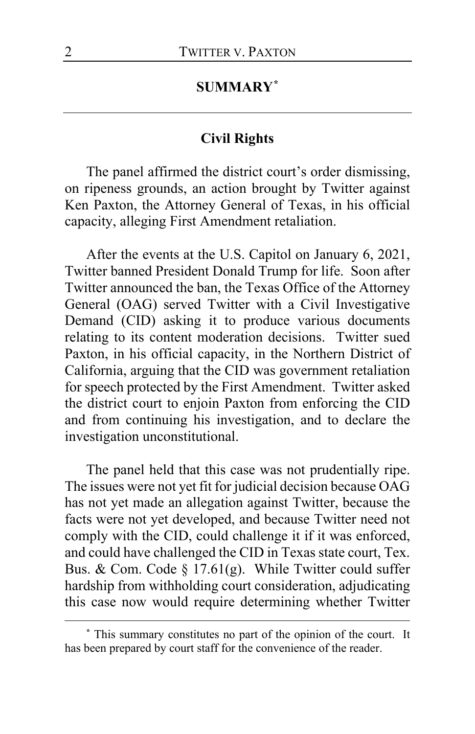# **SUMMARY[\\*](#page-1-0)**

## **Civil Rights**

The panel affirmed the district court's order dismissing, on ripeness grounds, an action brought by Twitter against Ken Paxton, the Attorney General of Texas, in his official capacity, alleging First Amendment retaliation.

After the events at the U.S. Capitol on January 6, 2021, Twitter banned President Donald Trump for life. Soon after Twitter announced the ban, the Texas Office of the Attorney General (OAG) served Twitter with a Civil Investigative Demand (CID) asking it to produce various documents relating to its content moderation decisions. Twitter sued Paxton, in his official capacity, in the Northern District of California, arguing that the CID was government retaliation for speech protected by the First Amendment. Twitter asked the district court to enjoin Paxton from enforcing the CID and from continuing his investigation, and to declare the investigation unconstitutional.

The panel held that this case was not prudentially ripe. The issues were not yet fit for judicial decision because OAG has not yet made an allegation against Twitter, because the facts were not yet developed, and because Twitter need not comply with the CID, could challenge it if it was enforced, and could have challenged the CID in Texas state court, Tex. Bus. & Com. Code § 17.61(g). While Twitter could suffer hardship from withholding court consideration, adjudicating this case now would require determining whether Twitter

<span id="page-1-0"></span>**<sup>\*</sup>** This summary constitutes no part of the opinion of the court. It has been prepared by court staff for the convenience of the reader.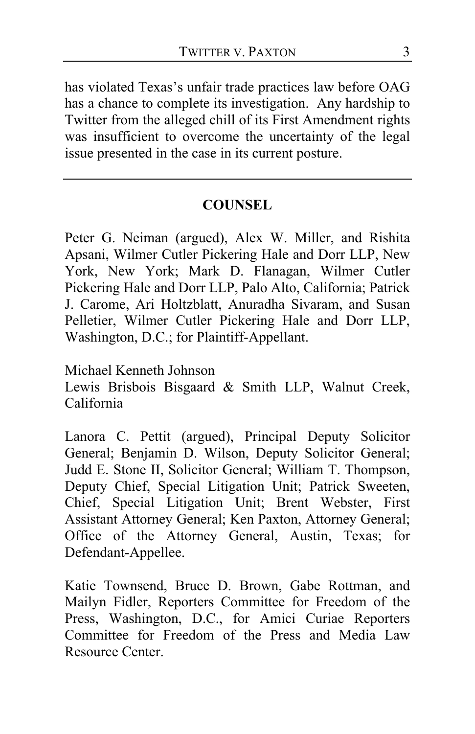has violated Texas's unfair trade practices law before OAG has a chance to complete its investigation. Any hardship to Twitter from the alleged chill of its First Amendment rights was insufficient to overcome the uncertainty of the legal issue presented in the case in its current posture.

# **COUNSEL**

Peter G. Neiman (argued), Alex W. Miller, and Rishita Apsani, Wilmer Cutler Pickering Hale and Dorr LLP, New York, New York; Mark D. Flanagan, Wilmer Cutler Pickering Hale and Dorr LLP, Palo Alto, California; Patrick J. Carome, Ari Holtzblatt, Anuradha Sivaram, and Susan Pelletier, Wilmer Cutler Pickering Hale and Dorr LLP, Washington, D.C.; for Plaintiff-Appellant.

Michael Kenneth Johnson

Lewis Brisbois Bisgaard & Smith LLP, Walnut Creek, California

Lanora C. Pettit (argued), Principal Deputy Solicitor General; Benjamin D. Wilson, Deputy Solicitor General; Judd E. Stone II, Solicitor General; William T. Thompson, Deputy Chief, Special Litigation Unit; Patrick Sweeten, Chief, Special Litigation Unit; Brent Webster, First Assistant Attorney General; Ken Paxton, Attorney General; Office of the Attorney General, Austin, Texas; for Defendant-Appellee.

Katie Townsend, Bruce D. Brown, Gabe Rottman, and Mailyn Fidler, Reporters Committee for Freedom of the Press, Washington, D.C., for Amici Curiae Reporters Committee for Freedom of the Press and Media Law Resource Center.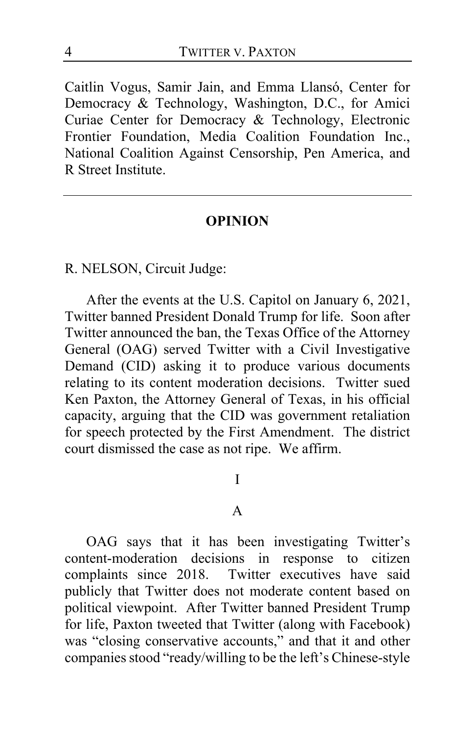Caitlin Vogus, Samir Jain, and Emma Llansó, Center for Democracy & Technology, Washington, D.C., for Amici Curiae Center for Democracy & Technology, Electronic Frontier Foundation, Media Coalition Foundation Inc., National Coalition Against Censorship, Pen America, and R Street Institute.

#### **OPINION**

R. NELSON, Circuit Judge:

After the events at the U.S. Capitol on January 6, 2021, Twitter banned President Donald Trump for life. Soon after Twitter announced the ban, the Texas Office of the Attorney General (OAG) served Twitter with a Civil Investigative Demand (CID) asking it to produce various documents relating to its content moderation decisions. Twitter sued Ken Paxton, the Attorney General of Texas, in his official capacity, arguing that the CID was government retaliation for speech protected by the First Amendment. The district court dismissed the case as not ripe. We affirm.

#### I

#### A

OAG says that it has been investigating Twitter's content-moderation decisions in response to citizen complaints since 2018. Twitter executives have said publicly that Twitter does not moderate content based on political viewpoint. After Twitter banned President Trump for life, Paxton tweeted that Twitter (along with Facebook) was "closing conservative accounts," and that it and other companies stood "ready/willing to be the left's Chinese-style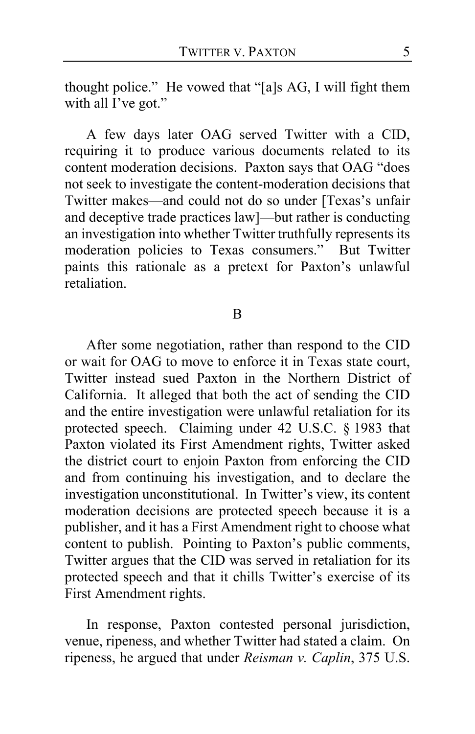thought police." He vowed that "[a]s AG, I will fight them with all I've got."

A few days later OAG served Twitter with a CID, requiring it to produce various documents related to its content moderation decisions. Paxton says that OAG "does not seek to investigate the content-moderation decisions that Twitter makes—and could not do so under [Texas's unfair and deceptive trade practices law]—but rather is conducting an investigation into whether Twitter truthfully represents its moderation policies to Texas consumers." But Twitter paints this rationale as a pretext for Paxton's unlawful retaliation.

#### B

After some negotiation, rather than respond to the CID or wait for OAG to move to enforce it in Texas state court, Twitter instead sued Paxton in the Northern District of California. It alleged that both the act of sending the CID and the entire investigation were unlawful retaliation for its protected speech. Claiming under 42 U.S.C. § 1983 that Paxton violated its First Amendment rights, Twitter asked the district court to enjoin Paxton from enforcing the CID and from continuing his investigation, and to declare the investigation unconstitutional. In Twitter's view, its content moderation decisions are protected speech because it is a publisher, and it has a First Amendment right to choose what content to publish. Pointing to Paxton's public comments, Twitter argues that the CID was served in retaliation for its protected speech and that it chills Twitter's exercise of its First Amendment rights.

In response, Paxton contested personal jurisdiction, venue, ripeness, and whether Twitter had stated a claim. On ripeness, he argued that under *Reisman v. Caplin*, 375 U.S.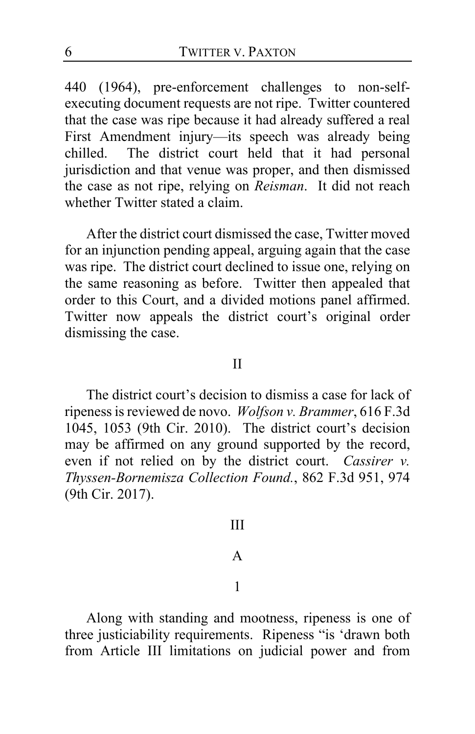440 (1964), pre-enforcement challenges to non-selfexecuting document requests are not ripe. Twitter countered that the case was ripe because it had already suffered a real First Amendment injury—its speech was already being chilled. The district court held that it had personal jurisdiction and that venue was proper, and then dismissed the case as not ripe, relying on *Reisman*. It did not reach whether Twitter stated a claim.

After the district court dismissed the case, Twitter moved for an injunction pending appeal, arguing again that the case was ripe. The district court declined to issue one, relying on the same reasoning as before. Twitter then appealed that order to this Court, and a divided motions panel affirmed. Twitter now appeals the district court's original order dismissing the case.

II

The district court's decision to dismiss a case for lack of ripeness is reviewed de novo. *Wolfson v. Brammer*, 616 F.3d 1045, 1053 (9th Cir. 2010). The district court's decision may be affirmed on any ground supported by the record, even if not relied on by the district court. *Cassirer v. Thyssen-Bornemisza Collection Found.*, 862 F.3d 951, 974 (9th Cir. 2017).

III

### A

### 1

Along with standing and mootness, ripeness is one of three justiciability requirements. Ripeness "is 'drawn both from Article III limitations on judicial power and from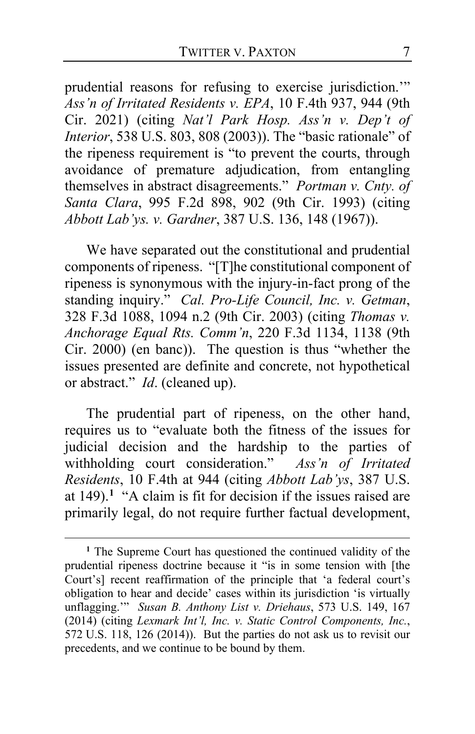prudential reasons for refusing to exercise jurisdiction.'" *Ass'n of Irritated Residents v. EPA*, 10 F.4th 937, 944 (9th Cir. 2021) (citing *Nat'l Park Hosp. Ass'n v. Dep't of Interior*, 538 U.S. 803, 808 (2003)). The "basic rationale" of the ripeness requirement is "to prevent the courts, through avoidance of premature adjudication, from entangling themselves in abstract disagreements." *Portman v. Cnty. of Santa Clara*, 995 F.2d 898, 902 (9th Cir. 1993) (citing *Abbott Lab'ys. v. Gardner*, 387 U.S. 136, 148 (1967)).

We have separated out the constitutional and prudential components of ripeness. "[T]he constitutional component of ripeness is synonymous with the injury-in-fact prong of the standing inquiry." *Cal. Pro-Life Council, Inc. v. Getman*, 328 F.3d 1088, 1094 n.2 (9th Cir. 2003) (citing *Thomas v. Anchorage Equal Rts. Comm'n*, 220 F.3d 1134, 1138 (9th Cir. 2000) (en banc)). The question is thus "whether the issues presented are definite and concrete, not hypothetical or abstract." *Id*. (cleaned up).

The prudential part of ripeness, on the other hand, requires us to "evaluate both the fitness of the issues for judicial decision and the hardship to the parties of withholding court consideration." *Ass'n of Irritated Residents*, 10 F.4th at 944 (citing *Abbott Lab'ys*, 387 U.S. at 149).**[1](#page-6-0)** "A claim is fit for decision if the issues raised are primarily legal, do not require further factual development,

<span id="page-6-0"></span>**<sup>1</sup>** The Supreme Court has questioned the continued validity of the prudential ripeness doctrine because it "is in some tension with [the Court's] recent reaffirmation of the principle that 'a federal court's obligation to hear and decide' cases within its jurisdiction 'is virtually unflagging.'" *Susan B. Anthony List v. Driehaus*, 573 U.S. 149, 167 (2014) (citing *Lexmark Int'l, Inc. v. Static Control Components, Inc.*, 572 U.S. 118, 126 (2014)). But the parties do not ask us to revisit our precedents, and we continue to be bound by them.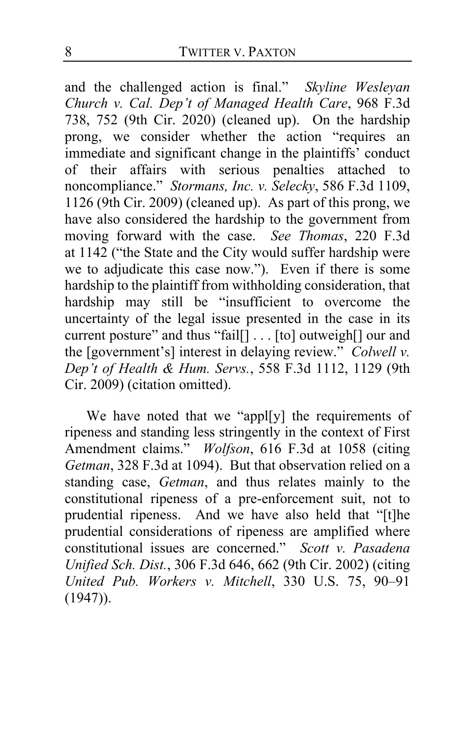and the challenged action is final." *Skyline Wesleyan Church v. Cal. Dep't of Managed Health Care*, 968 F.3d 738, 752 (9th Cir. 2020) (cleaned up). On the hardship prong, we consider whether the action "requires an immediate and significant change in the plaintiffs' conduct of their affairs with serious penalties attached to noncompliance." *Stormans, Inc. v. Selecky*, 586 F.3d 1109, 1126 (9th Cir. 2009) (cleaned up). As part of this prong, we have also considered the hardship to the government from moving forward with the case. *See Thomas*, 220 F.3d at 1142 ("the State and the City would suffer hardship were we to adjudicate this case now."). Even if there is some hardship to the plaintiff from withholding consideration, that hardship may still be "insufficient to overcome the uncertainty of the legal issue presented in the case in its current posture" and thus "fail[] . . . [to] outweigh[] our and the [government's] interest in delaying review." *Colwell v. Dep't of Health & Hum. Servs.*, 558 F.3d 1112, 1129 (9th Cir. 2009) (citation omitted).

We have noted that we "appl[y] the requirements of ripeness and standing less stringently in the context of First Amendment claims." *Wolfson*, 616 F.3d at 1058 (citing *Getman*, 328 F.3d at 1094). But that observation relied on a standing case, *Getman*, and thus relates mainly to the constitutional ripeness of a pre-enforcement suit, not to prudential ripeness. And we have also held that "[t]he prudential considerations of ripeness are amplified where constitutional issues are concerned." *Scott v. Pasadena Unified Sch. Dist.*, 306 F.3d 646, 662 (9th Cir. 2002) (citing *United Pub. Workers v. Mitchell*, 330 U.S. 75, 90–91 (1947)).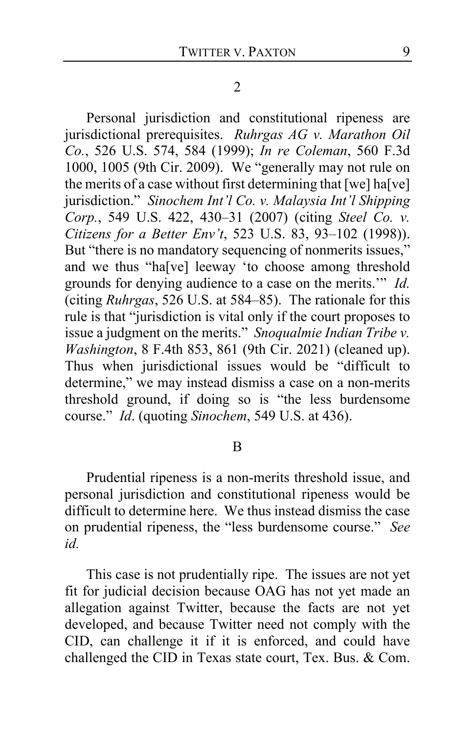Personal jurisdiction and constitutional ripeness are jurisdictional prerequisites. *Ruhrgas AG v. Marathon Oil Co.*, 526 U.S. 574, 584 (1999); *In re Coleman*, 560 F.3d 1000, 1005 (9th Cir. 2009). We "generally may not rule on the merits of a case without first determining that  $[we]$  ha $[ve]$ jurisdiction." *Sinochem Int'l Co. v. Malaysia Int'l Shipping Corp.*, 549 U.S. 422, 430–31 (2007) (citing *Steel Co. v. Citizens for a Better Env't*, 523 U.S. 83, 93–102 (1998)). But "there is no mandatory sequencing of nonmerits issues," and we thus "ha[ve] leeway 'to choose among threshold grounds for denying audience to a case on the merits.'" *Id.*  (citing *Ruhrgas*, 526 U.S. at 584–85). The rationale for this rule is that "jurisdiction is vital only if the court proposes to issue a judgment on the merits." *Snoqualmie Indian Tribe v. Washington*, 8 F.4th 853, 861 (9th Cir. 2021) (cleaned up). Thus when jurisdictional issues would be "difficult to determine," we may instead dismiss a case on a non-merits threshold ground, if doing so is "the less burdensome course." *Id*. (quoting *Sinochem*, 549 U.S. at 436).

### B

Prudential ripeness is a non-merits threshold issue, and personal jurisdiction and constitutional ripeness would be difficult to determine here. We thus instead dismiss the case on prudential ripeness, the "less burdensome course." *See id.*

This case is not prudentially ripe. The issues are not yet fit for judicial decision because OAG has not yet made an allegation against Twitter, because the facts are not yet developed, and because Twitter need not comply with the CID, can challenge it if it is enforced, and could have challenged the CID in Texas state court, Tex. Bus. & Com.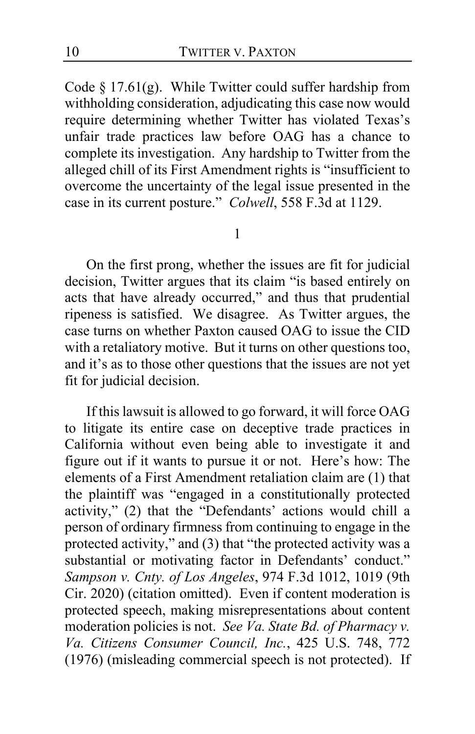Code  $\S 17.61(g)$ . While Twitter could suffer hardship from withholding consideration, adjudicating this case now would require determining whether Twitter has violated Texas's unfair trade practices law before OAG has a chance to complete its investigation. Any hardship to Twitter from the alleged chill of its First Amendment rights is "insufficient to overcome the uncertainty of the legal issue presented in the case in its current posture." *Colwell*, 558 F.3d at 1129.

#### 1

On the first prong, whether the issues are fit for judicial decision, Twitter argues that its claim "is based entirely on acts that have already occurred," and thus that prudential ripeness is satisfied. We disagree. As Twitter argues, the case turns on whether Paxton caused OAG to issue the CID with a retaliatory motive. But it turns on other questions too, and it's as to those other questions that the issues are not yet fit for judicial decision.

If this lawsuit is allowed to go forward, it will force OAG to litigate its entire case on deceptive trade practices in California without even being able to investigate it and figure out if it wants to pursue it or not. Here's how: The elements of a First Amendment retaliation claim are (1) that the plaintiff was "engaged in a constitutionally protected activity," (2) that the "Defendants' actions would chill a person of ordinary firmness from continuing to engage in the protected activity," and (3) that "the protected activity was a substantial or motivating factor in Defendants' conduct." *Sampson v. Cnty. of Los Angeles*, 974 F.3d 1012, 1019 (9th Cir. 2020) (citation omitted). Even if content moderation is protected speech, making misrepresentations about content moderation policies is not. *See Va. State Bd. of Pharmacy v. Va. Citizens Consumer Council, Inc.*, 425 U.S. 748, 772 (1976) (misleading commercial speech is not protected). If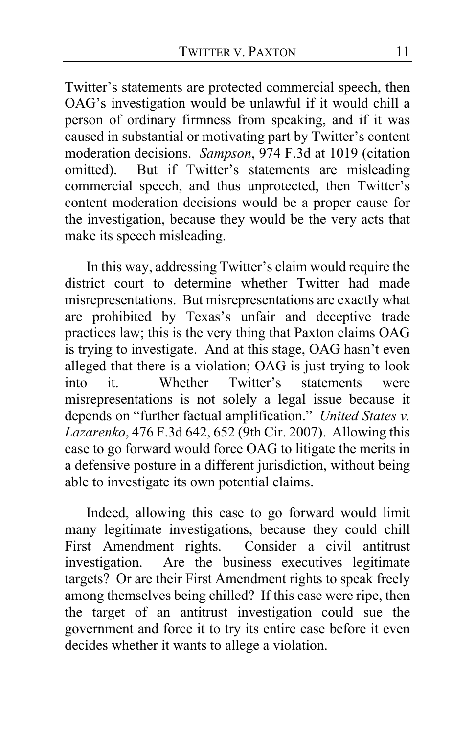Twitter's statements are protected commercial speech, then OAG's investigation would be unlawful if it would chill a person of ordinary firmness from speaking, and if it was caused in substantial or motivating part by Twitter's content moderation decisions. *Sampson*, 974 F.3d at 1019 (citation omitted). But if Twitter's statements are misleading But if Twitter's statements are misleading commercial speech, and thus unprotected, then Twitter's content moderation decisions would be a proper cause for the investigation, because they would be the very acts that make its speech misleading.

In this way, addressing Twitter's claim would require the district court to determine whether Twitter had made misrepresentations. But misrepresentations are exactly what are prohibited by Texas's unfair and deceptive trade practices law; this is the very thing that Paxton claims OAG is trying to investigate. And at this stage, OAG hasn't even alleged that there is a violation; OAG is just trying to look into it. Whether Twitter's statements were misrepresentations is not solely a legal issue because it depends on "further factual amplification." *United States v. Lazarenko*, 476 F.3d 642, 652 (9th Cir. 2007). Allowing this case to go forward would force OAG to litigate the merits in a defensive posture in a different jurisdiction, without being able to investigate its own potential claims.

Indeed, allowing this case to go forward would limit many legitimate investigations, because they could chill First Amendment rights. Consider a civil antitrust investigation. Are the business executives legitimate Are the business executives legitimate targets? Or are their First Amendment rights to speak freely among themselves being chilled? If this case were ripe, then the target of an antitrust investigation could sue the government and force it to try its entire case before it even decides whether it wants to allege a violation.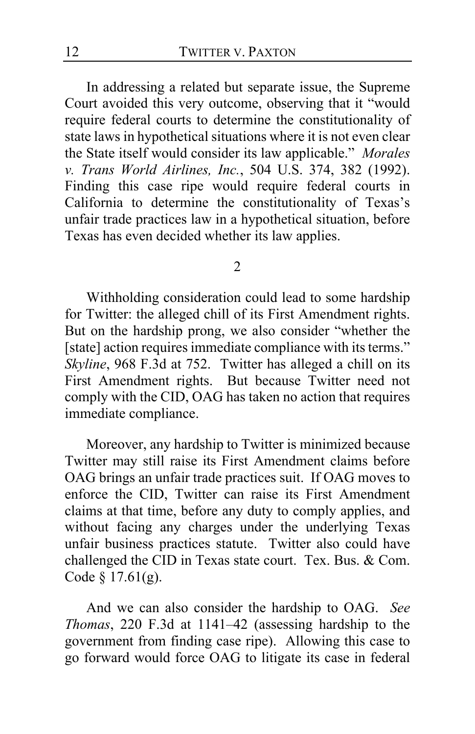In addressing a related but separate issue, the Supreme Court avoided this very outcome, observing that it "would require federal courts to determine the constitutionality of state laws in hypothetical situations where it is not even clear the State itself would consider its law applicable." *Morales v. Trans World Airlines, Inc.*, 504 U.S. 374, 382 (1992). Finding this case ripe would require federal courts in California to determine the constitutionality of Texas's unfair trade practices law in a hypothetical situation, before Texas has even decided whether its law applies.

#### 2

Withholding consideration could lead to some hardship for Twitter: the alleged chill of its First Amendment rights. But on the hardship prong, we also consider "whether the [state] action requires immediate compliance with its terms." *Skyline*, 968 F.3d at 752. Twitter has alleged a chill on its First Amendment rights. But because Twitter need not comply with the CID, OAG has taken no action that requires immediate compliance.

Moreover, any hardship to Twitter is minimized because Twitter may still raise its First Amendment claims before OAG brings an unfair trade practices suit. If OAG moves to enforce the CID, Twitter can raise its First Amendment claims at that time, before any duty to comply applies, and without facing any charges under the underlying Texas unfair business practices statute. Twitter also could have challenged the CID in Texas state court. Tex. Bus. & Com. Code § 17.61(g).

And we can also consider the hardship to OAG. *See Thomas*, 220 F.3d at 1141–42 (assessing hardship to the government from finding case ripe). Allowing this case to go forward would force OAG to litigate its case in federal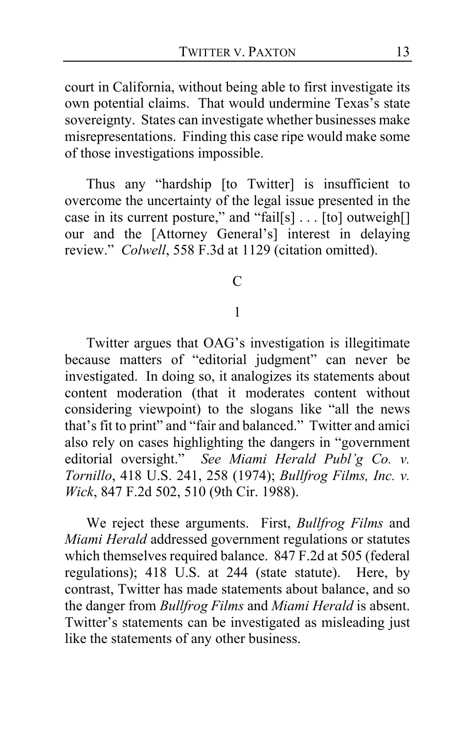court in California, without being able to first investigate its own potential claims. That would undermine Texas's state sovereignty. States can investigate whether businesses make misrepresentations. Finding this case ripe would make some of those investigations impossible.

Thus any "hardship [to Twitter] is insufficient to overcome the uncertainty of the legal issue presented in the case in its current posture," and "fail[s] . . . [to] outweigh[] our and the [Attorney General's] interest in delaying review." *Colwell*, 558 F.3d at 1129 (citation omitted).

 $\mathcal{C}$ 

### 1

Twitter argues that OAG's investigation is illegitimate because matters of "editorial judgment" can never be investigated. In doing so, it analogizes its statements about content moderation (that it moderates content without considering viewpoint) to the slogans like "all the news that's fit to print" and "fair and balanced." Twitter and amici also rely on cases highlighting the dangers in "government editorial oversight." *See Miami Herald Publ'g Co. v. Tornillo*, 418 U.S. 241, 258 (1974); *Bullfrog Films, Inc. v. Wick*, 847 F.2d 502, 510 (9th Cir. 1988).

We reject these arguments. First, *Bullfrog Films* and *Miami Herald* addressed government regulations or statutes which themselves required balance. 847 F.2d at 505 (federal regulations); 418 U.S. at 244 (state statute). Here, by contrast, Twitter has made statements about balance, and so the danger from *Bullfrog Films* and *Miami Herald* is absent. Twitter's statements can be investigated as misleading just like the statements of any other business.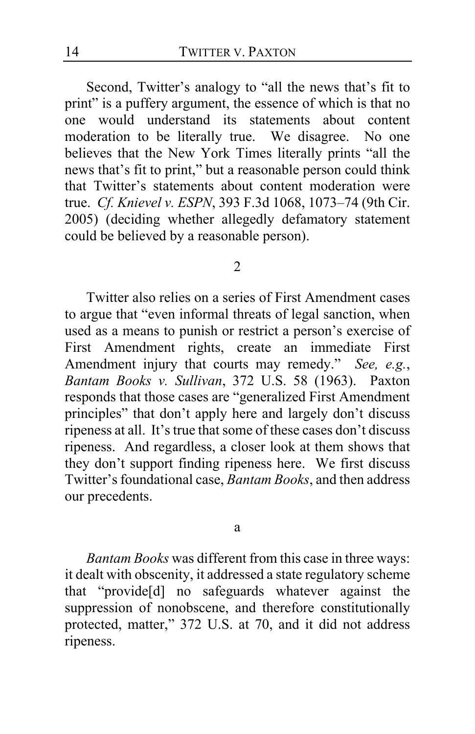Second, Twitter's analogy to "all the news that's fit to print" is a puffery argument, the essence of which is that no one would understand its statements about content moderation to be literally true. We disagree. No one believes that the New York Times literally prints "all the news that's fit to print," but a reasonable person could think that Twitter's statements about content moderation were true. *Cf. Knievel v. ESPN*, 393 F.3d 1068, 1073–74 (9th Cir. 2005) (deciding whether allegedly defamatory statement could be believed by a reasonable person).

#### 2

Twitter also relies on a series of First Amendment cases to argue that "even informal threats of legal sanction, when used as a means to punish or restrict a person's exercise of First Amendment rights, create an immediate First Amendment injury that courts may remedy." *See, e.g.*, *Bantam Books v. Sullivan*, 372 U.S. 58 (1963). Paxton responds that those cases are "generalized First Amendment principles" that don't apply here and largely don't discuss ripeness at all. It's true that some of these cases don't discuss ripeness. And regardless, a closer look at them shows that they don't support finding ripeness here. We first discuss Twitter's foundational case, *Bantam Books*, and then address our precedents.

a

*Bantam Books* was different from this case in three ways: it dealt with obscenity, it addressed a state regulatory scheme that "provide[d] no safeguards whatever against the suppression of nonobscene, and therefore constitutionally protected, matter," 372 U.S. at 70, and it did not address ripeness.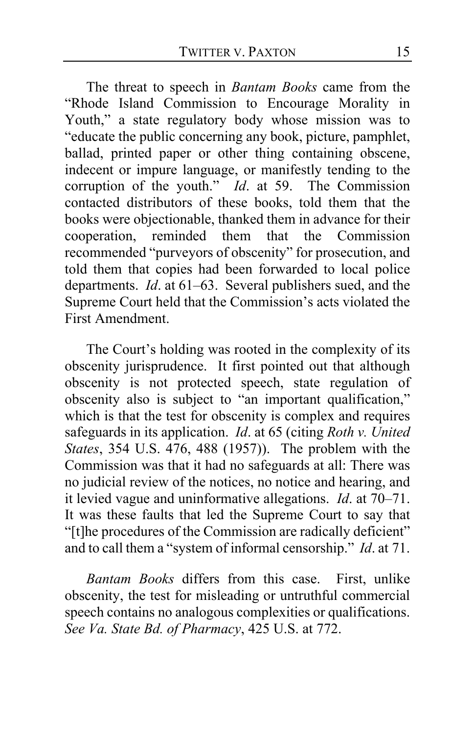The threat to speech in *Bantam Books* came from the "Rhode Island Commission to Encourage Morality in Youth," a state regulatory body whose mission was to "educate the public concerning any book, picture, pamphlet, ballad, printed paper or other thing containing obscene, indecent or impure language, or manifestly tending to the corruption of the youth." *Id*. at 59. The Commission contacted distributors of these books, told them that the books were objectionable, thanked them in advance for their cooperation, reminded them that the Commission recommended "purveyors of obscenity" for prosecution, and told them that copies had been forwarded to local police departments. *Id*. at 61–63. Several publishers sued, and the Supreme Court held that the Commission's acts violated the First Amendment.

The Court's holding was rooted in the complexity of its obscenity jurisprudence. It first pointed out that although obscenity is not protected speech, state regulation of obscenity also is subject to "an important qualification," which is that the test for obscenity is complex and requires safeguards in its application. *Id*. at 65 (citing *Roth v. United States*, 354 U.S. 476, 488 (1957)). The problem with the Commission was that it had no safeguards at all: There was no judicial review of the notices, no notice and hearing, and it levied vague and uninformative allegations. *Id*. at 70–71. It was these faults that led the Supreme Court to say that "[t]he procedures of the Commission are radically deficient" and to call them a "system of informal censorship." *Id*. at 71.

*Bantam Books* differs from this case. First, unlike obscenity, the test for misleading or untruthful commercial speech contains no analogous complexities or qualifications. *See Va. State Bd. of Pharmacy*, 425 U.S. at 772.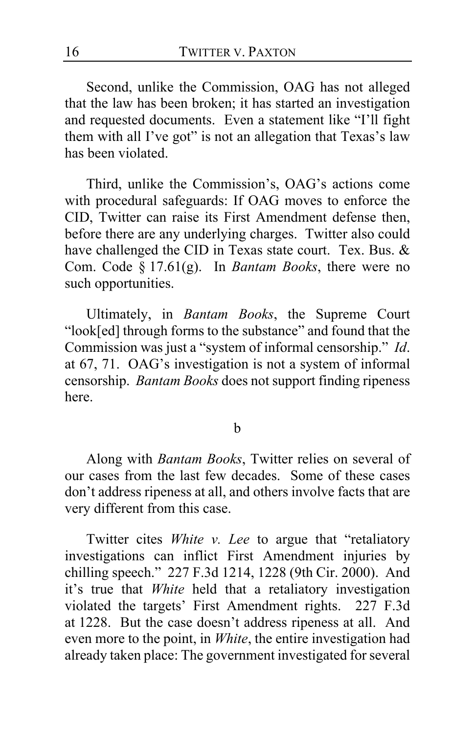Second, unlike the Commission, OAG has not alleged that the law has been broken; it has started an investigation and requested documents.Even a statement like "I'll fight them with all I've got" is not an allegation that Texas's law has been violated.

Third, unlike the Commission's, OAG's actions come with procedural safeguards: If OAG moves to enforce the CID, Twitter can raise its First Amendment defense then, before there are any underlying charges. Twitter also could have challenged the CID in Texas state court. Tex. Bus. & Com. Code § 17.61(g). In *Bantam Books*, there were no such opportunities.

Ultimately, in *Bantam Books*, the Supreme Court "look[ed] through forms to the substance" and found that the Commission was just a "system of informal censorship." *Id*. at 67, 71. OAG's investigation is not a system of informal censorship. *Bantam Books* does not support finding ripeness here.

### b

Along with *Bantam Books*, Twitter relies on several of our cases from the last few decades. Some of these cases don't address ripeness at all, and others involve facts that are very different from this case.

Twitter cites *White v. Lee* to argue that "retaliatory investigations can inflict First Amendment injuries by chilling speech." 227 F.3d 1214, 1228 (9th Cir. 2000). And it's true that *White* held that a retaliatory investigation violated the targets' First Amendment rights. 227 F.3d at 1228. But the case doesn't address ripeness at all. And even more to the point, in *White*, the entire investigation had already taken place: The government investigated for several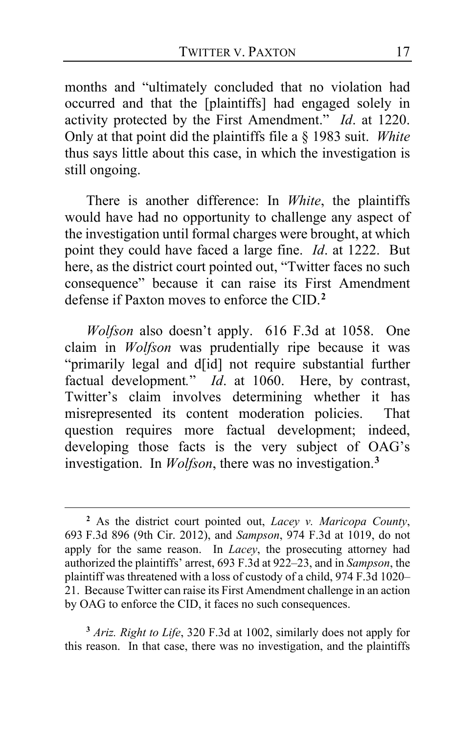months and "ultimately concluded that no violation had occurred and that the [plaintiffs] had engaged solely in activity protected by the First Amendment." *Id*. at 1220. Only at that point did the plaintiffs file a § 1983 suit. *White*  thus says little about this case, in which the investigation is still ongoing.

There is another difference: In *White*, the plaintiffs would have had no opportunity to challenge any aspect of the investigation until formal charges were brought, at which point they could have faced a large fine. *Id*. at 1222. But here, as the district court pointed out, "Twitter faces no such consequence" because it can raise its First Amendment defense if Paxton moves to enforce the CID.**[2](#page-16-0)**

*Wolfson* also doesn't apply. 616 F.3d at 1058. One claim in *Wolfson* was prudentially ripe because it was "primarily legal and d[id] not require substantial further factual development*.*" *Id*. at 1060. Here, by contrast, Twitter's claim involves determining whether it has misrepresented its content moderation policies. That question requires more factual development; indeed, developing those facts is the very subject of OAG's investigation. In *Wolfson*, there was no investigation.**[3](#page-16-1)**

<span id="page-16-1"></span>**<sup>3</sup>** *Ariz. Right to Life*, 320 F.3d at 1002, similarly does not apply for this reason. In that case, there was no investigation, and the plaintiffs

<span id="page-16-0"></span>**<sup>2</sup>** As the district court pointed out, *Lacey v. Maricopa County*, 693 F.3d 896 (9th Cir. 2012), and *Sampson*, 974 F.3d at 1019, do not apply for the same reason. In *Lacey*, the prosecuting attorney had authorized the plaintiffs' arrest, 693 F.3d at 922–23, and in *Sampson*, the plaintiff was threatened with a loss of custody of a child, 974 F.3d 1020– 21. Because Twitter can raise its First Amendment challenge in an action by OAG to enforce the CID, it faces no such consequences.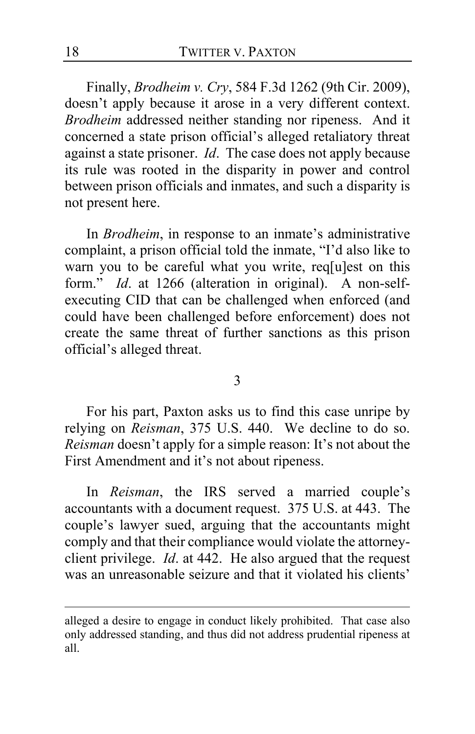Finally, *Brodheim v. Cry*, 584 F.3d 1262 (9th Cir. 2009), doesn't apply because it arose in a very different context. *Brodheim* addressed neither standing nor ripeness. And it concerned a state prison official's alleged retaliatory threat against a state prisoner. *Id*. The case does not apply because its rule was rooted in the disparity in power and control between prison officials and inmates, and such a disparity is not present here.

In *Brodheim*, in response to an inmate's administrative complaint, a prison official told the inmate, "I'd also like to warn you to be careful what you write, req[u]est on this form." *Id*. at 1266 (alteration in original). A non-selfexecuting CID that can be challenged when enforced (and could have been challenged before enforcement) does not create the same threat of further sanctions as this prison official's alleged threat.

3

For his part, Paxton asks us to find this case unripe by relying on *Reisman*, 375 U.S. 440. We decline to do so. *Reisman* doesn't apply for a simple reason: It's not about the First Amendment and it's not about ripeness.

In *Reisman*, the IRS served a married couple's accountants with a document request. 375 U.S. at 443. The couple's lawyer sued, arguing that the accountants might comply and that their compliance would violate the attorneyclient privilege. *Id*. at 442. He also argued that the request was an unreasonable seizure and that it violated his clients'

alleged a desire to engage in conduct likely prohibited. That case also only addressed standing, and thus did not address prudential ripeness at all.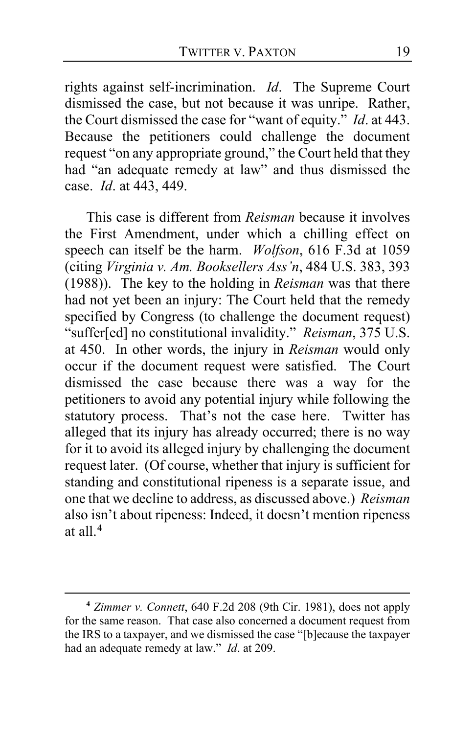rights against self-incrimination. *Id*. The Supreme Court dismissed the case, but not because it was unripe. Rather, the Court dismissed the case for "want of equity." *Id*. at 443. Because the petitioners could challenge the document request "on any appropriate ground," the Court held that they had "an adequate remedy at law" and thus dismissed the case. *Id*. at 443, 449.

This case is different from *Reisman* because it involves the First Amendment, under which a chilling effect on speech can itself be the harm. *Wolfson*, 616 F.3d at 1059 (citing *Virginia v. Am. Booksellers Ass'n*, 484 U.S. 383, 393 (1988)). The key to the holding in *Reisman* was that there had not yet been an injury: The Court held that the remedy specified by Congress (to challenge the document request) "suffer[ed] no constitutional invalidity." *Reisman*, 375 U.S. at 450. In other words, the injury in *Reisman* would only occur if the document request were satisfied. The Court dismissed the case because there was a way for the petitioners to avoid any potential injury while following the statutory process. That's not the case here. Twitter has alleged that its injury has already occurred; there is no way for it to avoid its alleged injury by challenging the document request later. (Of course, whether that injury is sufficient for standing and constitutional ripeness is a separate issue, and one that we decline to address, as discussed above.) *Reisman* also isn't about ripeness: Indeed, it doesn't mention ripeness at all.**[4](#page-18-0)**

<span id="page-18-0"></span>**<sup>4</sup>** *Zimmer v. Connett*, 640 F.2d 208 (9th Cir. 1981), does not apply for the same reason. That case also concerned a document request from the IRS to a taxpayer, and we dismissed the case "[b]ecause the taxpayer had an adequate remedy at law." *Id*. at 209.